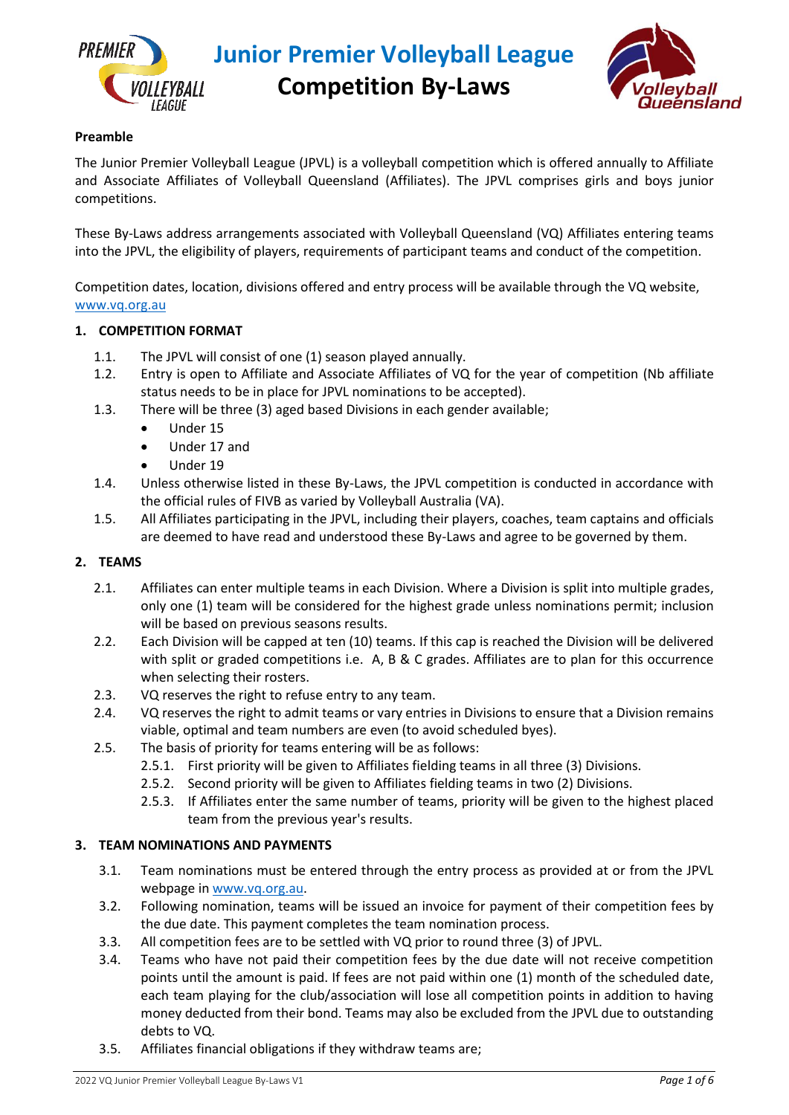

**Competition By-Laws**



# **Preamble**

The Junior Premier Volleyball League (JPVL) is a volleyball competition which is offered annually to Affiliate and Associate Affiliates of Volleyball Queensland (Affiliates). The JPVL comprises girls and boys junior competitions.

These By-Laws address arrangements associated with Volleyball Queensland (VQ) Affiliates entering teams into the JPVL, the eligibility of players, requirements of participant teams and conduct of the competition.

Competition dates, location, divisions offered and entry process will be available through the VQ website, [www.vq.org.au](file://///SERVER/qva/2021/Leagues/PVL%202021/By-Laws/www.vq.org.au)

## **1. COMPETITION FORMAT**

- 1.1. The JPVL will consist of one (1) season played annually.
- 1.2. Entry is open to Affiliate and Associate Affiliates of VQ for the year of competition (Nb affiliate status needs to be in place for JPVL nominations to be accepted).
- 1.3. There will be three (3) aged based Divisions in each gender available;
	- Under 15
	- Under 17 and
	- Under 19
- 1.4. Unless otherwise listed in these By-Laws, the JPVL competition is conducted in accordance with the official rules of FIVB as varied by Volleyball Australia (VA).
- 1.5. All Affiliates participating in the JPVL, including their players, coaches, team captains and officials are deemed to have read and understood these By-Laws and agree to be governed by them.

### **2. TEAMS**

- 2.1. Affiliates can enter multiple teams in each Division. Where a Division is split into multiple grades, only one (1) team will be considered for the highest grade unless nominations permit; inclusion will be based on previous seasons results.
- 2.2. Each Division will be capped at ten (10) teams. If this cap is reached the Division will be delivered with split or graded competitions i.e. A, B & C grades. Affiliates are to plan for this occurrence when selecting their rosters.
- 2.3. VQ reserves the right to refuse entry to any team.
- 2.4. VQ reserves the right to admit teams or vary entries in Divisions to ensure that a Division remains viable, optimal and team numbers are even (to avoid scheduled byes).
- 2.5. The basis of priority for teams entering will be as follows:
	- 2.5.1. First priority will be given to Affiliates fielding teams in all three (3) Divisions.
	- 2.5.2. Second priority will be given to Affiliates fielding teams in two (2) Divisions.
	- 2.5.3. If Affiliates enter the same number of teams, priority will be given to the highest placed team from the previous year's results.

#### **3. TEAM NOMINATIONS AND PAYMENTS**

- 3.1. Team nominations must be entered through the entry process as provided at or from the JPVL webpage i[n www.vq.org.au.](http://www.vq.org.au/)
- 3.2. Following nomination, teams will be issued an invoice for payment of their competition fees by the due date. This payment completes the team nomination process.
- 3.3. All competition fees are to be settled with VQ prior to round three (3) of JPVL.
- 3.4. Teams who have not paid their competition fees by the due date will not receive competition points until the amount is paid. If fees are not paid within one (1) month of the scheduled date, each team playing for the club/association will lose all competition points in addition to having money deducted from their bond. Teams may also be excluded from the JPVL due to outstanding debts to VQ.
- 3.5. Affiliates financial obligations if they withdraw teams are;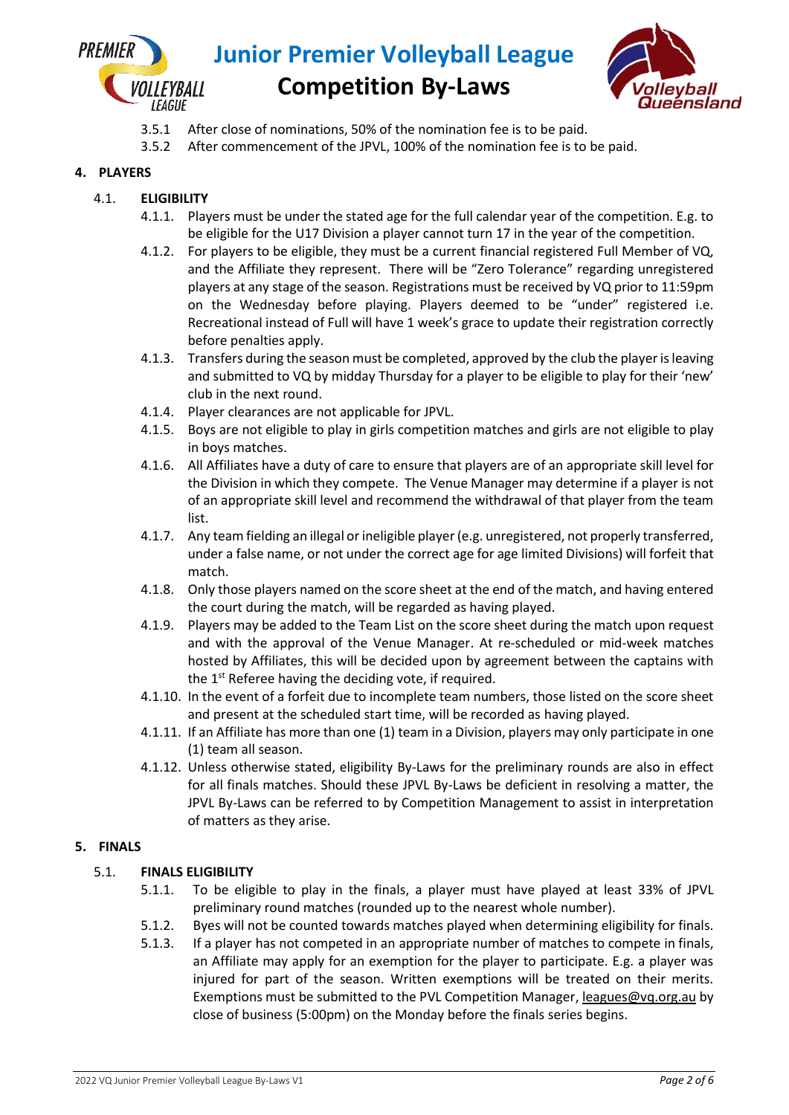

**Competition By-Laws**



- 3.5.1 After close of nominations, 50% of the nomination fee is to be paid.
- 3.5.2 After commencement of the JPVL, 100% of the nomination fee is to be paid.

## **4. PLAYERS**

# 4.1. **ELIGIBILITY**

- 4.1.1. Players must be under the stated age for the full calendar year of the competition. E.g. to be eligible for the U17 Division a player cannot turn 17 in the year of the competition.
- 4.1.2. For players to be eligible, they must be a current financial registered Full Member of VQ, and the Affiliate they represent. There will be "Zero Tolerance" regarding unregistered players at any stage of the season. Registrations must be received by VQ prior to 11:59pm on the Wednesday before playing. Players deemed to be "under" registered i.e. Recreational instead of Full will have 1 week's grace to update their registration correctly before penalties apply.
- 4.1.3. Transfers during the season must be completed, approved by the club the player is leaving and submitted to VQ by midday Thursday for a player to be eligible to play for their 'new' club in the next round.
- 4.1.4. Player clearances are not applicable for JPVL.
- 4.1.5. Boys are not eligible to play in girls competition matches and girls are not eligible to play in boys matches.
- 4.1.6. All Affiliates have a duty of care to ensure that players are of an appropriate skill level for the Division in which they compete. The Venue Manager may determine if a player is not of an appropriate skill level and recommend the withdrawal of that player from the team list.
- 4.1.7. Any team fielding an illegal or ineligible player (e.g. unregistered, not properly transferred, under a false name, or not under the correct age for age limited Divisions) will forfeit that match.
- 4.1.8. Only those players named on the score sheet at the end of the match, and having entered the court during the match, will be regarded as having played.
- 4.1.9. Players may be added to the Team List on the score sheet during the match upon request and with the approval of the Venue Manager. At re-scheduled or mid-week matches hosted by Affiliates, this will be decided upon by agreement between the captains with the 1<sup>st</sup> Referee having the deciding vote, if required.
- 4.1.10. In the event of a forfeit due to incomplete team numbers, those listed on the score sheet and present at the scheduled start time, will be recorded as having played.
- 4.1.11. If an Affiliate has more than one (1) team in a Division, players may only participate in one (1) team all season.
- 4.1.12. Unless otherwise stated, eligibility By-Laws for the preliminary rounds are also in effect for all finals matches. Should these JPVL By-Laws be deficient in resolving a matter, the JPVL By-Laws can be referred to by Competition Management to assist in interpretation of matters as they arise.

# **5. FINALS**

# 5.1. **FINALS ELIGIBILITY**

- 5.1.1. To be eligible to play in the finals, a player must have played at least 33% of JPVL preliminary round matches (rounded up to the nearest whole number).
- 5.1.2. Byes will not be counted towards matches played when determining eligibility for finals.
- 5.1.3. If a player has not competed in an appropriate number of matches to compete in finals, an Affiliate may apply for an exemption for the player to participate. E.g. a player was injured for part of the season. Written exemptions will be treated on their merits. Exemptions must be submitted to the PVL Competition Manager, leagues@vq.org.au by close of business (5:00pm) on the Monday before the finals series begins.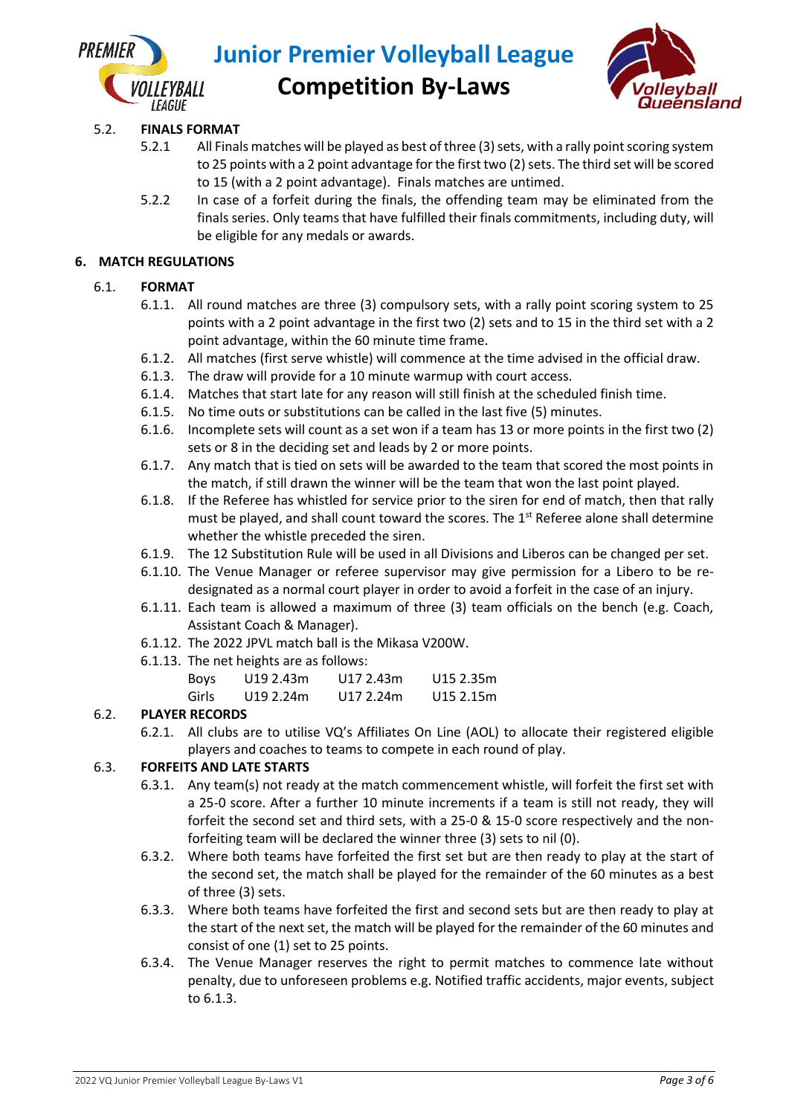



# **Competition By-Laws**

# 5.2. **FINALS FORMAT**

- 5.2.1 All Finals matches will be played as best of three (3) sets, with a rally point scoring system to 25 points with a 2 point advantage for the first two (2) sets. The third set will be scored to 15 (with a 2 point advantage). Finals matches are untimed.
- 5.2.2 In case of a forfeit during the finals, the offending team may be eliminated from the finals series. Only teams that have fulfilled their finals commitments, including duty, will be eligible for any medals or awards.

## **6. MATCH REGULATIONS**

## 6.1. **FORMAT**

- 6.1.1. All round matches are three (3) compulsory sets, with a rally point scoring system to 25 points with a 2 point advantage in the first two (2) sets and to 15 in the third set with a 2 point advantage, within the 60 minute time frame.
- 6.1.2. All matches (first serve whistle) will commence at the time advised in the official draw.
- 6.1.3. The draw will provide for a 10 minute warmup with court access.
- 6.1.4. Matches that start late for any reason will still finish at the scheduled finish time.
- 6.1.5. No time outs or substitutions can be called in the last five (5) minutes.
- 6.1.6. Incomplete sets will count as a set won if a team has 13 or more points in the first two (2) sets or 8 in the deciding set and leads by 2 or more points.
- 6.1.7. Any match that is tied on sets will be awarded to the team that scored the most points in the match, if still drawn the winner will be the team that won the last point played.
- 6.1.8. If the Referee has whistled for service prior to the siren for end of match, then that rally must be played, and shall count toward the scores. The 1<sup>st</sup> Referee alone shall determine whether the whistle preceded the siren.
- 6.1.9. The 12 Substitution Rule will be used in all Divisions and Liberos can be changed per set.
- 6.1.10. The Venue Manager or referee supervisor may give permission for a Libero to be redesignated as a normal court player in order to avoid a forfeit in the case of an injury.
- 6.1.11. Each team is allowed a maximum of three (3) team officials on the bench (e.g. Coach, Assistant Coach & Manager).
- 6.1.12. The 2022 JPVL match ball is the Mikasa V200W.
- 6.1.13. The net heights are as follows:

| Boys  | U19 2.43m | 1172.43m  | U15 2.35m |
|-------|-----------|-----------|-----------|
| Girls | U19 2.24m | U17 2.24m | U152.15m  |

# 6.2. **PLAYER RECORDS**

6.2.1. All clubs are to utilise VQ's Affiliates On Line (AOL) to allocate their registered eligible players and coaches to teams to compete in each round of play.

# 6.3. **FORFEITS AND LATE STARTS**

- 6.3.1. Any team(s) not ready at the match commencement whistle, will forfeit the first set with a 25-0 score. After a further 10 minute increments if a team is still not ready, they will forfeit the second set and third sets, with a 25-0 & 15-0 score respectively and the nonforfeiting team will be declared the winner three (3) sets to nil (0).
- 6.3.2. Where both teams have forfeited the first set but are then ready to play at the start of the second set, the match shall be played for the remainder of the 60 minutes as a best of three (3) sets.
- 6.3.3. Where both teams have forfeited the first and second sets but are then ready to play at the start of the next set, the match will be played for the remainder of the 60 minutes and consist of one (1) set to 25 points.
- 6.3.4. The Venue Manager reserves the right to permit matches to commence late without penalty, due to unforeseen problems e.g. Notified traffic accidents, major events, subject to 6.1.3.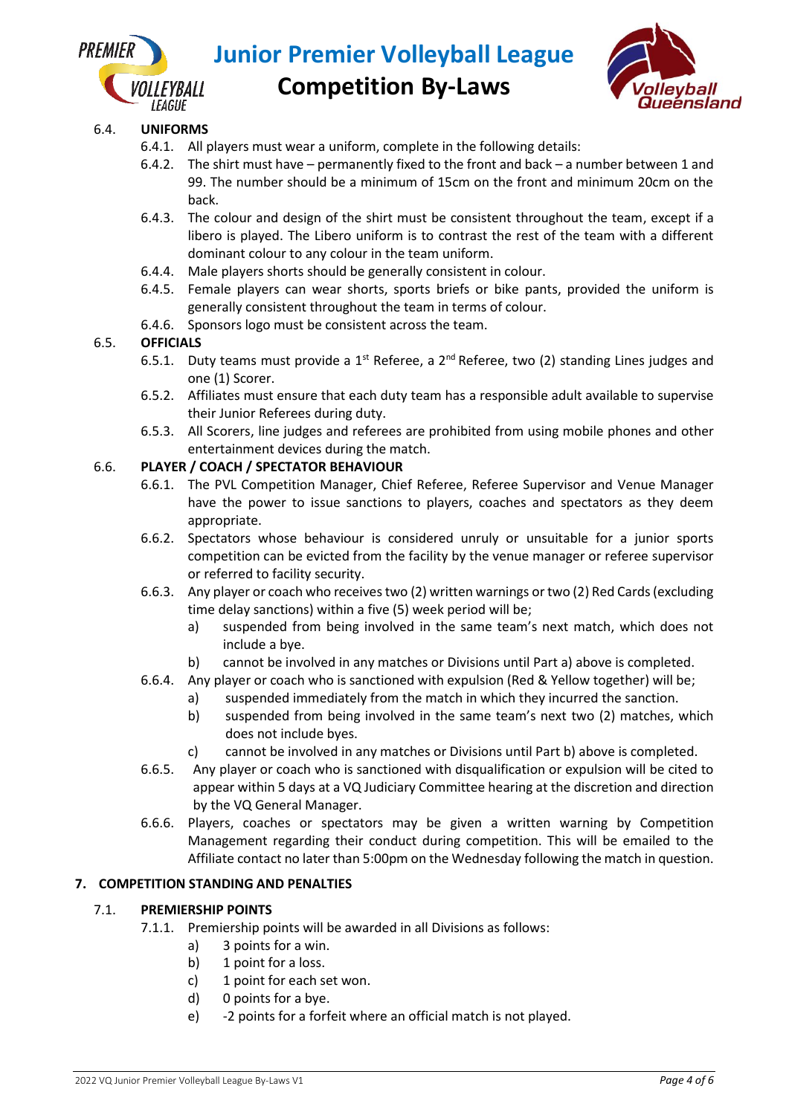



# **Competition By-Laws**

# 6.4. **UNIFORMS**

- 6.4.1. All players must wear a uniform, complete in the following details:
- 6.4.2. The shirt must have permanently fixed to the front and back a number between 1 and 99. The number should be a minimum of 15cm on the front and minimum 20cm on the back.
- 6.4.3. The colour and design of the shirt must be consistent throughout the team, except if a libero is played. The Libero uniform is to contrast the rest of the team with a different dominant colour to any colour in the team uniform.
- 6.4.4. Male players shorts should be generally consistent in colour.
- 6.4.5. Female players can wear shorts, sports briefs or bike pants, provided the uniform is generally consistent throughout the team in terms of colour.
- 6.4.6. Sponsors logo must be consistent across the team.

# 6.5. **OFFICIALS**

- 6.5.1. Duty teams must provide a 1<sup>st</sup> Referee, a 2<sup>nd</sup> Referee, two (2) standing Lines judges and one (1) Scorer.
- 6.5.2. Affiliates must ensure that each duty team has a responsible adult available to supervise their Junior Referees during duty.
- 6.5.3. All Scorers, line judges and referees are prohibited from using mobile phones and other entertainment devices during the match.

## 6.6. **PLAYER / COACH / SPECTATOR BEHAVIOUR**

- 6.6.1. The PVL Competition Manager, Chief Referee, Referee Supervisor and Venue Manager have the power to issue sanctions to players, coaches and spectators as they deem appropriate.
- 6.6.2. Spectators whose behaviour is considered unruly or unsuitable for a junior sports competition can be evicted from the facility by the venue manager or referee supervisor or referred to facility security.
- 6.6.3. Any player or coach who receivestwo (2) written warnings or two (2) Red Cards (excluding time delay sanctions) within a five (5) week period will be;
	- a) suspended from being involved in the same team's next match, which does not include a bye.
	- b) cannot be involved in any matches or Divisions until Part a) above is completed.
- 6.6.4. Any player or coach who is sanctioned with expulsion (Red & Yellow together) will be;
	- a) suspended immediately from the match in which they incurred the sanction.
	- b) suspended from being involved in the same team's next two (2) matches, which does not include byes.
	- c) cannot be involved in any matches or Divisions until Part b) above is completed.
- 6.6.5. Any player or coach who is sanctioned with disqualification or expulsion will be cited to appear within 5 days at a VQ Judiciary Committee hearing at the discretion and direction by the VQ General Manager.
- 6.6.6. Players, coaches or spectators may be given a written warning by Competition Management regarding their conduct during competition. This will be emailed to the Affiliate contact no later than 5:00pm on the Wednesday following the match in question.

#### **7. COMPETITION STANDING AND PENALTIES**

# 7.1. **PREMIERSHIP POINTS**

- 7.1.1. Premiership points will be awarded in all Divisions as follows:
	- a) 3 points for a win.
	- b) 1 point for a loss.
	- c) 1 point for each set won.
	- d) 0 points for a bye.
	- e) -2 points for a forfeit where an official match is not played.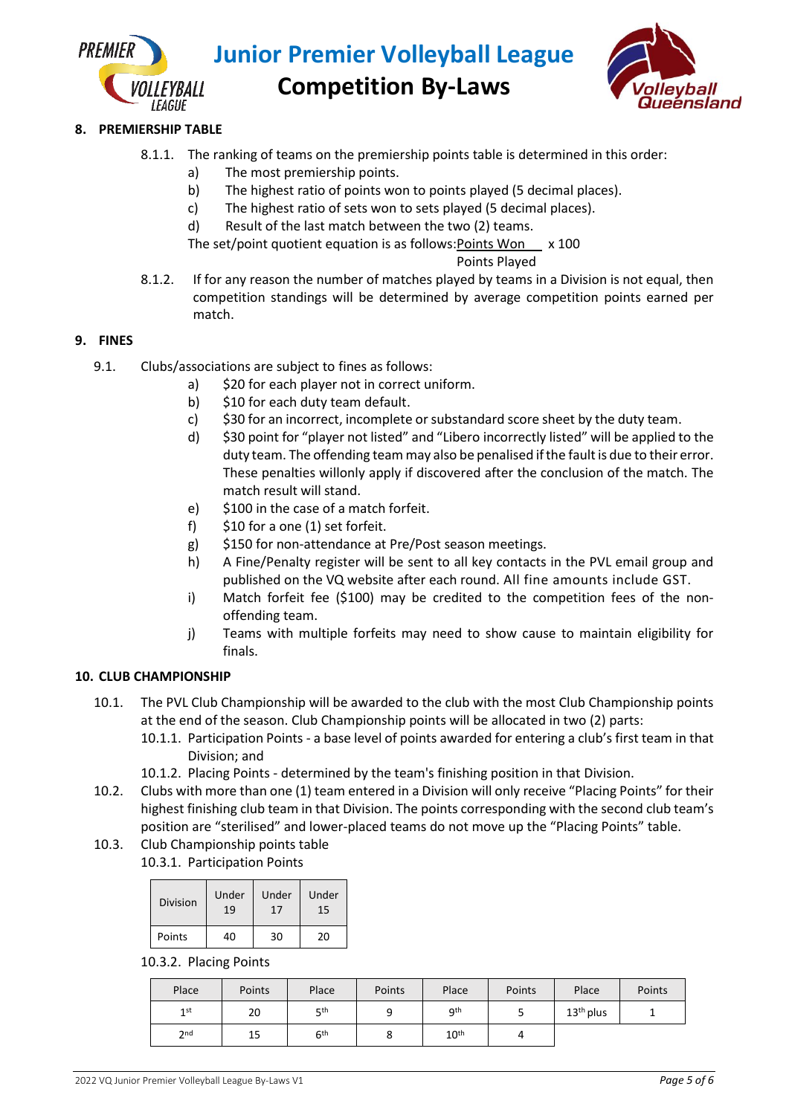



# **Competition By-Laws**

# **8. PREMIERSHIP TABLE**

- 8.1.1. The ranking of teams on the premiership points table is determined in this order:
	- a) The most premiership points.
	- b) The highest ratio of points won to points played (5 decimal places).
	- c) The highest ratio of sets won to sets played (5 decimal places).
	- d) Result of the last match between the two (2) teams.

The set/point quotient equation is as follows: Points Won  $\times$  100

Points Played

8.1.2. If for any reason the number of matches played by teams in a Division is not equal, then competition standings will be determined by average competition points earned per match.

# **9. FINES**

- 9.1. Clubs/associations are subject to fines as follows:
	- a) \$20 for each player not in correct uniform.
	- b) \$10 for each duty team default.
	- c) \$30 for an incorrect, incomplete or substandard score sheet by the duty team.
	- d) \$30 point for "player not listed" and "Libero incorrectly listed" will be applied to the duty team. The offending team may also be penalised if the fault is due to their error. These penalties willonly apply if discovered after the conclusion of the match. The match result will stand.
	- e) \$100 in the case of a match forfeit.
	- f) \$10 for a one (1) set forfeit.
	- g) \$150 for non-attendance at Pre/Post season meetings.
	- h) A Fine/Penalty register will be sent to all key contacts in the PVL email group and published on the VQ website after each round. All fine amounts include GST.
	- i) Match forfeit fee (\$100) may be credited to the competition fees of the nonoffending team.
	- j) Teams with multiple forfeits may need to show cause to maintain eligibility for finals.

# **10. CLUB CHAMPIONSHIP**

- 10.1. The PVL Club Championship will be awarded to the club with the most Club Championship points at the end of the season. Club Championship points will be allocated in two (2) parts:
	- 10.1.1. Participation Points a base level of points awarded for entering a club's first team in that Division; and
	- 10.1.2. Placing Points determined by the team's finishing position in that Division.
- 10.2. Clubs with more than one (1) team entered in a Division will only receive "Placing Points" for their highest finishing club team in that Division. The points corresponding with the second club team's position are "sterilised" and lower-placed teams do not move up the "Placing Points" table.
- 10.3. Club Championship points table 10.3.1. Participation Points

| Division | Under | Under | Under |  |
|----------|-------|-------|-------|--|
|          | 19    | 17    | 15    |  |
| Points   | 40    | 30    | 20    |  |

10.3.2. Placing Points

| Place | Points | Place           | Points | Place            | Points | Place       | Points |
|-------|--------|-----------------|--------|------------------|--------|-------------|--------|
| 1st   | 20     | $F$ th          | a      | <b>9th</b>       |        | $13th$ plus |        |
| 2nd   | 15     | 6 <sup>th</sup> | ٥      | 10 <sup>th</sup> |        |             |        |